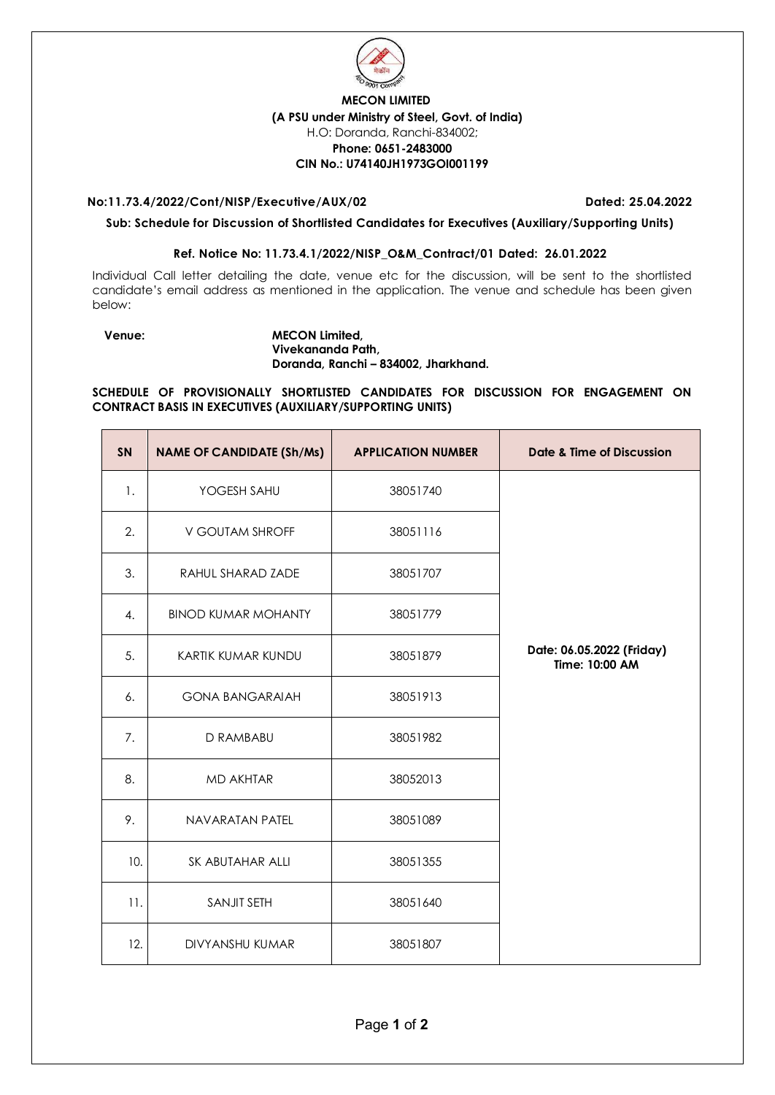

## **MECON LIMITED (A PSU under Ministry of Steel, Govt. of India)** H.O: Doranda, Ranchi-834002; **Phone: 0651-2483000 CIN No.: U74140JH1973GOI001199**

### **No:11.73.4/2022/Cont/NISP/Executive/AUX/02 Dated: 25.04.2022**

**Sub: Schedule for Discussion of Shortlisted Candidates for Executives (Auxiliary/Supporting Units)** 

## **Ref. Notice No: 11.73.4.1/2022/NISP\_O&M\_Contract/01 Dated: 26.01.2022**

Individual Call letter detailing the date, venue etc for the discussion, will be sent to the shortlisted candidate's email address as mentioned in the application. The venue and schedule has been given below:

#### **Venue: MECON Limited, Vivekananda Path, Doranda, Ranchi – 834002, Jharkhand.**

## **SCHEDULE OF PROVISIONALLY SHORTLISTED CANDIDATES FOR DISCUSSION FOR ENGAGEMENT ON CONTRACT BASIS IN EXECUTIVES (AUXILIARY/SUPPORTING UNITS)**

| SN  | <b>NAME OF CANDIDATE (Sh/Ms)</b> | <b>APPLICATION NUMBER</b> | Date & Time of Discussion                   |
|-----|----------------------------------|---------------------------|---------------------------------------------|
| 1.  | YOGESH SAHU                      | 38051740                  |                                             |
| 2.  | V GOUTAM SHROFF                  | 38051116                  |                                             |
| 3.  | RAHUL SHARAD ZADE                | 38051707                  |                                             |
| 4.  | <b>BINOD KUMAR MOHANTY</b>       | 38051779                  |                                             |
| 5.  | KARTIK KUMAR KUNDU               | 38051879                  | Date: 06.05.2022 (Friday)<br>Time: 10:00 AM |
| 6.  | <b>GONA BANGARAIAH</b>           | 38051913                  |                                             |
| 7.  | D RAMBABU                        | 38051982                  |                                             |
| 8.  | MD AKHTAR                        | 38052013                  |                                             |
| 9.  | NAVARATAN PATEL                  | 38051089                  |                                             |
| 10. | SK ABUTAHAR ALLI                 | 38051355                  |                                             |
| 11. | <b>SANJIT SETH</b>               | 38051640                  |                                             |
| 12. | <b>DIVYANSHU KUMAR</b>           | 38051807                  |                                             |